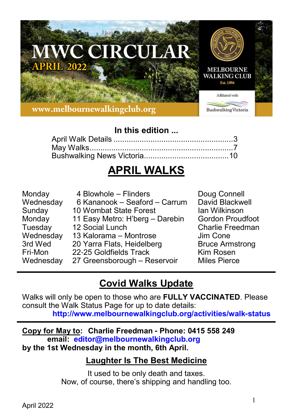

# **In this edition ...**

# **APRIL WALKS**

| Monday    | 4 Blowhole - Flinders           | Doug Connell            |
|-----------|---------------------------------|-------------------------|
| Wednesday | 6 Kananook – Seaford – Carrum   | David Blackwell         |
| Sunday    | 10 Wombat State Forest          | Ian Wilkinson           |
| Monday    | 11 Easy Metro: H'berg - Darebin | <b>Gordon Proudfoot</b> |
| Tuesday   | 12 Social Lunch                 | <b>Charlie Freedman</b> |
| Wednesday | 13 Kalorama – Montrose          | Jim Cone                |
| 3rd Wed   | 20 Yarra Flats, Heidelberg      | <b>Bruce Armstrong</b>  |
| Fri-Mon   | 22-25 Goldfields Track          | Kim Rosen               |
| Wednesday | 27 Greensborough - Reservoir    | <b>Miles Pierce</b>     |

# **Covid Walks Update**

Walks will only be open to those who are **FULLY VACCINATED**. Please consult the Walk Status Page for up to date details: **http://www.melbournewalkingclub.org/activities/walk-status**

**Copy for May to: Charlie Freedman - Phone: 0415 558 249 email: editor@melbournewalkingclub.org by the 1st Wednesday in the month, 6th April.**

# **Laughter Is The Best Medicine**

It used to be only death and taxes. Now, of course, there's shipping and handling too.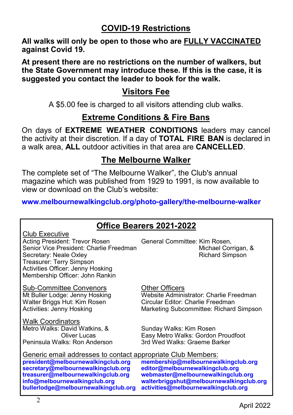# **COVID-19 Restrictions**

**All walks will only be open to those who are FULLY VACCINATED against Covid 19.**

**At present there are no restrictions on the number of walkers, but the State Government may introduce these. If this is the case, it is suggested you contact the leader to book for the walk.**

# **Visitors Fee**

A \$5.00 fee is charged to all visitors attending club walks.

# **Extreme Conditions & Fire Bans**

On days of **EXTREME WEATHER CONDITIONS** leaders may cancel the activity at their discretion. If a day of **TOTAL FIRE BAN** is declared in a walk area, **ALL** outdoor activities in that area are **CANCELLED**.

# **The Melbourne Walker**

The complete set of "The Melbourne Walker", the Club's annual magazine which was published from 1929 to 1991, is now available to view or download on the Club's website:

**www.melbournewalkingclub.org/photo-gallery/the-melbourne-walker**

# **Office Bearers 2021-2022**

| Club Executive                          |
|-----------------------------------------|
| Acting President: Trevor Rosen          |
| Senior Vice President: Charlie Freedmar |
| Secretary: Neale Oxley                  |
| Treasurer: Terry Simpson                |
| Activities Officer: Jenny Hosking       |
| Membership Officer: John Rankin         |

Sub-Committee Convenors 6 Example Other Officers<br>
Mt Buller Lodge: Jenny Hosking Website Adminis Walter Briggs Hut: Kim Rosen<br>Activities: Jenny Hosking

Walk Coordinators Metro Walks: David Watkins, & Sunday Walks: Kim Rosen Peninsula Walks: Ron Anderson

General Committee: Kim Rosen, nichael Corrigan, & Richard Simpson

Website Administrator: Charlie Freedman<br>Circular Editor: Charlie Freedman Marketing Subcommittee: Richard Simpson

Easy Metro Walks: Gordon Proudfoot<br>3rd Wed Walks: Graeme Barker

Generic email addresses to contact appropriate Club Members:<br>president@melbournewalkingclub.org membership@melbournewa **secretary@melbournewalkingclub.org**<br>treasurer@melbournewalkingclub.org

**bullerlodge@melbournewalkingclub.org activities@melbournewalkingclub.org**

**president@melbournewalkingclub.org membership@melbournewalkingclub.org treasurer@melbournewalkingclub.org webmaster@melbournewalkingclub.org info@melbournewalkingclub.org walterbriggshut@melbournewalkingclub.org**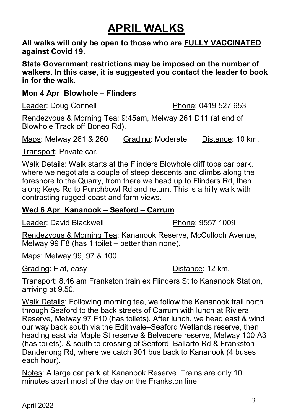# **APRIL WALKS**

**All walks will only be open to those who are FULLY VACCINATED against Covid 19.**

**State Government restrictions may be imposed on the number of walkers. In this case, it is suggested you contact the leader to book in for the walk.**

## **Mon 4 Apr Blowhole – Flinders**

Leader: Doug Connell **Phone: 0419 527 653** 

Rendezvous & Morning Tea: 9:45am, Melway 261 D11 (at end of Blowhole Track off Boneo Rd).

Maps: Melway 261 & 260 Grading: Moderate Distance: 10 km.

Transport: Private car.

Walk Details: Walk starts at the Flinders Blowhole cliff tops car park, where we negotiate a couple of steep descents and climbs along the foreshore to the Quarry, from there we head up to Flinders Rd, then along Keys Rd to Punchbowl Rd and return. This is a hilly walk with contrasting rugged coast and farm views.

## **Wed 6 Apr Kananook – Seaford – Carrum**

Leader: David Blackwell **Phone: 9557 1009** 

Rendezvous & Morning Tea: Kananook Reserve, McCulloch Avenue, Melway 99 F8 (has 1 toilet – better than none).

Maps: Melway 99, 97 & 100.

Grading: Flat, easy Distance: 12 km.

Transport: 8.46 am Frankston train ex Flinders St to Kananook Station, arriving at 9.50.

Walk Details: Following morning tea, we follow the Kananook trail north through Seaford to the back streets of Carrum with lunch at Riviera Reserve, Melway 97 F10 (has toilets). After lunch, we head east & wind our way back south via the Edithvale–Seaford Wetlands reserve, then heading east via Maple St reserve & Belvedere reserve, Melway 100 A3 (has toilets), & south to crossing of Seaford–Ballarto Rd & Frankston– Dandenong Rd, where we catch 901 bus back to Kananook (4 buses each hour).

Notes: A large car park at Kananook Reserve. Trains are only 10 minutes apart most of the day on the Frankston line.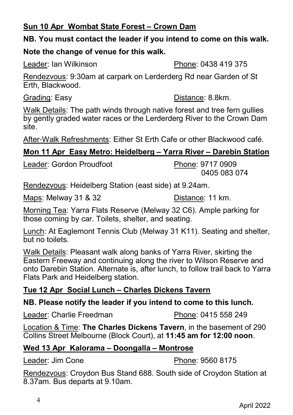## **Sun 10 Apr Wombat State Forest – Crown Dam**

## **NB. You must contact the leader if you intend to come on this walk.**

## **Note the change of venue for this walk.**

Leader: Ian Wilkinson **Phone: 0438 419 375** 

Rendezvous: 9:30am at carpark on Lerderderg Rd near Garden of St Erth, Blackwood.

Grading: Easy Distance: 8.8km.

Walk Details: The path winds through native forest and tree fern gullies by gently graded water races or the Lerderderg River to the Crown Dam site.

After-Walk Refreshments: Either St Erth Cafe or other Blackwood café.

# **Mon 11 Apr Easy Metro: Heidelberg – Yarra River – Darebin Station**

Leader: Gordon Proudfoot Phone: 9717 0909

0405 083 074

Rendezvous: Heidelberg Station (east side) at 9.24am.

Maps: Melway 31 & 32 Distance: 11 km.

Morning Tea: Yarra Flats Reserve (Melway 32 C6). Ample parking for those coming by car. Toilets, shelter, and seating.

Lunch: At Eaglemont Tennis Club (Melway 31 K11). Seating and shelter, but no toilets.

Walk Details: Pleasant walk along banks of Yarra River, skirting the Eastern Freeway and continuing along the river to Wilson Reserve and onto Darebin Station. Alternate is, after lunch, to follow trail back to Yarra Flats Park and Heidelberg station.

# **Tue 12 Apr Social Lunch – Charles Dickens Tavern**

## **NB. Please notify the leader if you intend to come to this lunch.**

Leader: Charlie Freedman Phone: 0415 558 249

Location & Time: **The Charles Dickens Tavern**, in the basement of 290 Collins Street Melbourne (Block Court), at **11:45 am for 12:00 noon**.

# **Wed 13 Apr Kalorama – Doongalla – Montrose**

Leader: Jim Cone **Phone: 9560 8175** 

Rendezvous: Croydon Bus Stand 688. South side of Croydon Station at 8.37am. Bus departs at 9.10am.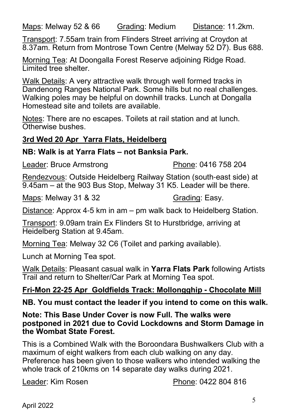Maps: Melway 52 & 66 Grading: Medium Distance: 11.2km.

Transport: 7.55am train from Flinders Street arriving at Croydon at 8.37am. Return from Montrose Town Centre (Melway 52 D7). Bus 688.

Morning Tea: At Doongalla Forest Reserve adjoining Ridge Road. Limited tree shelter.

Walk Details: A very attractive walk through well formed tracks in Dandenong Ranges National Park. Some hills but no real challenges. Walking poles may be helpful on downhill tracks. Lunch at Dongalla Homestead site and toilets are available.

Notes: There are no escapes. Toilets at rail station and at lunch. Otherwise bushes.

## **3rd Wed 20 Apr Yarra Flats, Heidelberg**

## **NB: Walk is at Yarra Flats – not Banksia Park.**

Leader: Bruce Armstrong Phone: 0416 758 204

Rendezvous: Outside Heidelberg Railway Station (south-east side) at 9.45am – at the 903 Bus Stop, Melway 31 K5. Leader will be there.

Maps: Melway 31 & 32 Grading: Easy.

Distance: Approx 4-5 km in am – pm walk back to Heidelberg Station.

Transport: 9.09am train Ex Flinders St to Hurstbridge, arriving at Heidelberg Station at 9.45am.

Morning Tea: Melway 32 C6 (Toilet and parking available).

Lunch at Morning Tea spot.

Walk Details: Pleasant casual walk in **Yarra Flats Park** following Artists Trail and return to Shelter/Car Park at Morning Tea spot.

## **Fri-Mon 22-25 Apr Goldfields Track: Mollongghip - Chocolate Mill**

#### **NB. You must contact the leader if you intend to come on this walk.**

**Note: This Base Under Cover is now Full. The walks were postponed in 2021 due to Covid Lockdowns and Storm Damage in the Wombat State Forest.**

This is a Combined Walk with the Boroondara Bushwalkers Club with a maximum of eight walkers from each club walking on any day. Preference has been given to those walkers who intended walking the whole track of 210kms on 14 separate day walks during 2021.

Leader: Kim Rosen **Phone: 0422 804 816**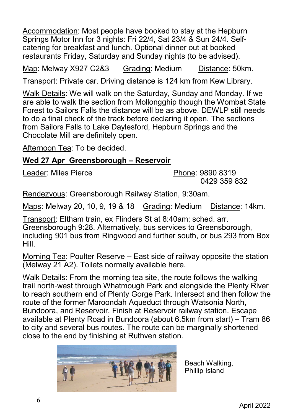Accommodation: Most people have booked to stay at the Hepburn Springs Motor Inn for 3 nights: Fri 22/4, Sat 23/4 & Sun 24/4. Selfcatering for breakfast and lunch. Optional dinner out at booked restaurants Friday, Saturday and Sunday nights (to be advised).

Map: Melway X927 C2&3 Grading: Medium Distance: 50km.

Transport: Private car. Driving distance is 124 km from Kew Library.

Walk Details: We will walk on the Saturday, Sunday and Monday. If we are able to walk the section from Mollongghip though the Wombat State Forest to Sailors Falls the distance will be as above. DEWLP still needs to do a final check of the track before declaring it open. The sections from Sailors Falls to Lake Daylesford, Hepburn Springs and the Chocolate Mill are definitely open.

Afternoon Tea: To be decided.

#### **Wed 27 Apr Greensborough – Reservoir**

Leader: Miles Pierce **Phone: 9890 8319** 

0429 359 832

Rendezvous: Greensborough Railway Station, 9:30am.

Maps: Melway 20, 10, 9, 19 & 18 Grading: Medium Distance: 14km.

Transport: Eltham train, ex Flinders St at 8:40am; sched. arr. Greensborough 9:28. Alternatively, bus services to Greensborough, including 901 bus from Ringwood and further south, or bus 293 from Box Hill.

Morning Tea: Poulter Reserve – East side of railway opposite the station (Melway 21 A2). Toilets normally available here.

Walk Details: From the morning tea site, the route follows the walking trail north-west through Whatmough Park and alongside the Plenty River to reach southern end of Plenty Gorge Park. Intersect and then follow the route of the former Maroondah Aqueduct through Watsonia North, Bundoora, and Reservoir. Finish at Reservoir railway station. Escape available at Plenty Road in Bundoora (about 6.5km from start) – Tram 86 to city and several bus routes. The route can be marginally shortened close to the end by finishing at Ruthven station.



Beach Walking, Phillip Island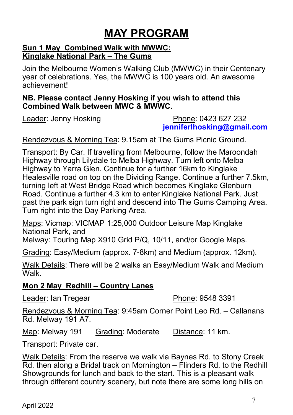# **MAY PROGRAM**

#### **Sun 1 May Combined Walk with MWWC: Kinglake National Park – The Gums**

Join the Melbourne Women's Walking Club (MWWC) in their Centenary year of celebrations. Yes, the MWWC is 100 years old. An awesome achievement!

#### **NB. Please contact Jenny Hosking if you wish to attend this Combined Walk between MWC & MWWC.**

#### Leader: Jenny Hosking **Phone: 0423 627 232 jenniferlhosking@gmail.com**

Rendezvous & Morning Tea: 9.15am at The Gums Picnic Ground.

Transport: By Car. If travelling from Melbourne, follow the Maroondah Highway through Lilydale to Melba Highway. Turn left onto Melba Highway to Yarra Glen. Continue for a further 16km to Kinglake Healesville road on top on the Dividing Range. Continue a further 7.5km, turning left at West Bridge Road which becomes Kinglake Glenburn Road. Continue a further 4.3 km to enter Kinglake National Park. Just past the park sign turn right and descend into The Gums Camping Area. Turn right into the Day Parking Area.

Maps: Vicmap: VICMAP 1:25,000 Outdoor Leisure Map Kinglake National Park, and

Melway: Touring Map X910 Grid P/Q, 10/11, and/or Google Maps.

Grading: Easy/Medium (approx. 7-8km) and Medium (approx. 12km).

Walk Details: There will be 2 walks an Easy/Medium Walk and Medium Walk.

## **Mon 2 May Redhill – Country Lanes**

Leader: Ian Tregear **Phone: 9548 3391** 

Rendezvous & Morning Tea: 9:45am Corner Point Leo Rd. – Callanans Rd. Melway 191 A7.

Map: Melway 191 Grading: Moderate Distance: 11 km.

Transport: Private car.

Walk Details: From the reserve we walk via Baynes Rd. to Stony Creek Rd. then along a Bridal track on Mornington – Flinders Rd. to the Redhill Showgrounds for lunch and back to the start. This is a pleasant walk through different country scenery, but note there are some long hills on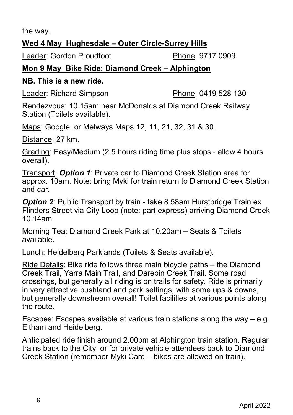the way.

## **Wed 4 May Hughesdale – Outer Circle-Surrey Hills**

Leader: Gordon Proudfoot Phone: 9717 0909

# **Mon 9 May Bike Ride: Diamond Creek – Alphington**

## **NB. This is a new ride.**

Leader: Richard Simpson Phone: 0419 528 130

Rendezvous: 10.15am near McDonalds at Diamond Creek Railway Station (Toilets available).

Maps: Google, or Melways Maps 12, 11, 21, 32, 31 & 30.

Distance: 27 km.

Grading: Easy/Medium (2.5 hours riding time plus stops - allow 4 hours overall).

Transport: *Option 1*: Private car to Diamond Creek Station area for approx. 10am. Note: bring Myki for train return to Diamond Creek Station and car.

**Option 2:** Public Transport by train - take 8.58am Hurstbridge Train ex Flinders Street via City Loop (note: part express) arriving Diamond Creek 10.14am.

Morning Tea: Diamond Creek Park at 10.20am – Seats & Toilets available.

Lunch: Heidelberg Parklands (Toilets & Seats available).

Ride Details: Bike ride follows three main bicycle paths – the Diamond Creek Trail, Yarra Main Trail, and Darebin Creek Trail. Some road crossings, but generally all riding is on trails for safety. Ride is primarily in very attractive bushland and park settings, with some ups & downs, but generally downstream overall! Toilet facilities at various points along the route.

Escapes: Escapes available at various train stations along the way – e.g. Eltham and Heidelberg.

Anticipated ride finish around 2.00pm at Alphington train station. Regular trains back to the City, or for private vehicle attendees back to Diamond Creek Station (remember Myki Card – bikes are allowed on train).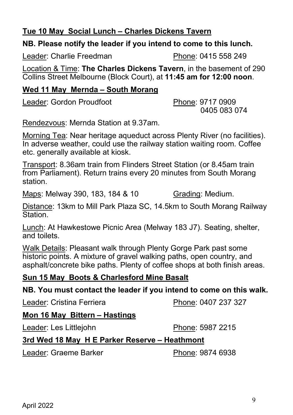## **Tue 10 May Social Lunch – Charles Dickens Tavern**

## **NB. Please notify the leader if you intend to come to this lunch.**

Leader: Charlie Freedman Phone: 0415 558 249

Location & Time: **The Charles Dickens Tavern**, in the basement of 290 Collins Street Melbourne (Block Court), at **11:45 am for 12:00 noon**.

#### **Wed 11 May Mernda – South Morang**

Leader: Gordon Proudfoot Phone: 9717 0909

0405 083 074

Rendezvous: Mernda Station at 9.37am.

Morning Tea: Near heritage aqueduct across Plenty River (no facilities). In adverse weather, could use the railway station waiting room. Coffee etc. generally available at kiosk.

Transport: 8.36am train from Flinders Street Station (or 8.45am train from Parliament). Return trains every 20 minutes from South Morang station.

Maps: Melway 390, 183, 184 & 10 Grading: Medium.

Distance: 13km to Mill Park Plaza SC, 14.5km to South Morang Railway **Station** 

Lunch: At Hawkestowe Picnic Area (Melway 183 J7). Seating, shelter, and toilets.

Walk Details: Pleasant walk through Plenty Gorge Park past some historic points. A mixture of gravel walking paths, open country, and asphalt/concrete bike paths. Plenty of coffee shops at both finish areas.

## **Sun 15 May Boots & Charlesford Mine Basalt**

**NB. You must contact the leader if you intend to come on this walk.**

Leader: Cristina Ferriera **Phone: 0407 237 327** 

#### **Mon 16 May Bittern – Hastings**

Leader: Les Littlejohn Phone: 5987 2215

## **3rd Wed 18 May H E Parker Reserve – Heathmont**

Leader: Graeme Barker Phone: 9874 6938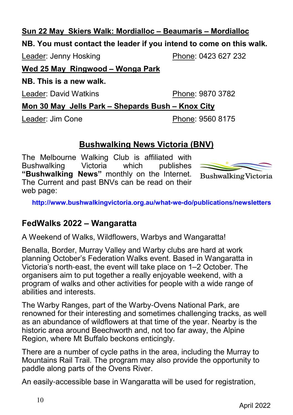## **Sun 22 May Skiers Walk: Mordialloc – Beaumaris – Mordialloc**

## **NB. You must contact the leader if you intend to come on this walk.**

Leader: Jenny Hosking Phone: 0423 627 232

**Wed 25 May Ringwood – Wonga Park**

**NB. This is a new walk.**

Leader: David Watkins **Phone: 9870 3782** 

**Mon 30 May Jells Park – Shepards Bush – Knox City**

Leader: Jim Cone **Phone: 9560 8175** 

# **Bushwalking News Victoria (BNV)**

The Melbourne Walking Club is affiliated with<br>Bushwalking Victoria which publishes Bushwalking Victoria which publishes **"Bushwalking News"** monthly on the Internet. The Current and past BNVs can be read on their web page:



**Bushwalking Victoria** 

**http://www.bushwalkingvictoria.org.au/what-we-do/publications/newsletters**

# **FedWalks 2022 – Wangaratta**

A Weekend of Walks, Wildflowers, Warbys and Wangaratta!

Benalla, Border, Murray Valley and Warby clubs are hard at work planning October's Federation Walks event. Based in Wangaratta in Victoria's north-east, the event will take place on 1–2 October. The organisers aim to put together a really enjoyable weekend, with a program of walks and other activities for people with a wide range of abilities and interests.

The Warby Ranges, part of the Warby-Ovens National Park, are renowned for their interesting and sometimes challenging tracks, as well as an abundance of wildflowers at that time of the year. Nearby is the historic area around Beechworth and, not too far away, the Alpine Region, where Mt Buffalo beckons enticingly.

There are a number of cycle paths in the area, including the Murray to Mountains Rail Trail. The program may also provide the opportunity to paddle along parts of the Ovens River.

An easily-accessible base in Wangaratta will be used for registration,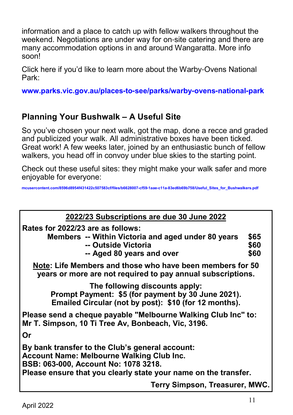information and a place to catch up with fellow walkers throughout the weekend. Negotiations are under way for on-site catering and there are many accommodation options in and around Wangaratta. More info soon!

Click here if you'd like to learn more about the Warby-Ovens National Park:

**www.parks.vic.gov.au/places-to-see/parks/warby-ovens-national-park**

# **Planning Your Bushwalk – A Useful Site**

So you've chosen your next walk, got the map, done a recce and graded and publicized your walk. All administrative boxes have been ticked. Great work! A few weeks later, joined by an enthusiastic bunch of fellow walkers, you head off in convoy under blue skies to the starting point.

Check out these useful sites: they might make your walk safer and more enjoyable for everyone:

**mcusercontent.com/8596d8954f431422c507583cf/files/b6628007-cf59-1aae-c11a-83ed6b69b758/Useful\_Sites\_for\_Bushwalkers.pdf**

| 2022/23 Subscriptions are due 30 June 2022                                                                                                                                                                     |                      |
|----------------------------------------------------------------------------------------------------------------------------------------------------------------------------------------------------------------|----------------------|
| Rates for 2022/23 are as follows:<br>Members -- Within Victoria and aged under 80 years<br>-- Outside Victoria<br>-- Aged 80 years and over                                                                    | \$65<br>\$60<br>\$60 |
| Note: Life Members and those who have been members for 50<br>years or more are not required to pay annual subscriptions.                                                                                       |                      |
| The following discounts apply:<br>Prompt Payment: \$5 (for payment by 30 June 2021).<br>Emailed Circular (not by post): \$10 (for 12 months).                                                                  |                      |
| Please send a cheque payable "Melbourne Walking Club Inc" to:<br>Mr T. Simpson, 10 Ti Tree Av, Bonbeach, Vic, 3196.                                                                                            |                      |
| Or                                                                                                                                                                                                             |                      |
| By bank transfer to the Club's general account:<br><b>Account Name: Melbourne Walking Club Inc.</b><br>BSB: 063-000, Account No: 1078 3218.<br>Please ensure that you clearly state your name on the transfer. |                      |
| Terry Simpson, Treasurer, MWC.                                                                                                                                                                                 |                      |